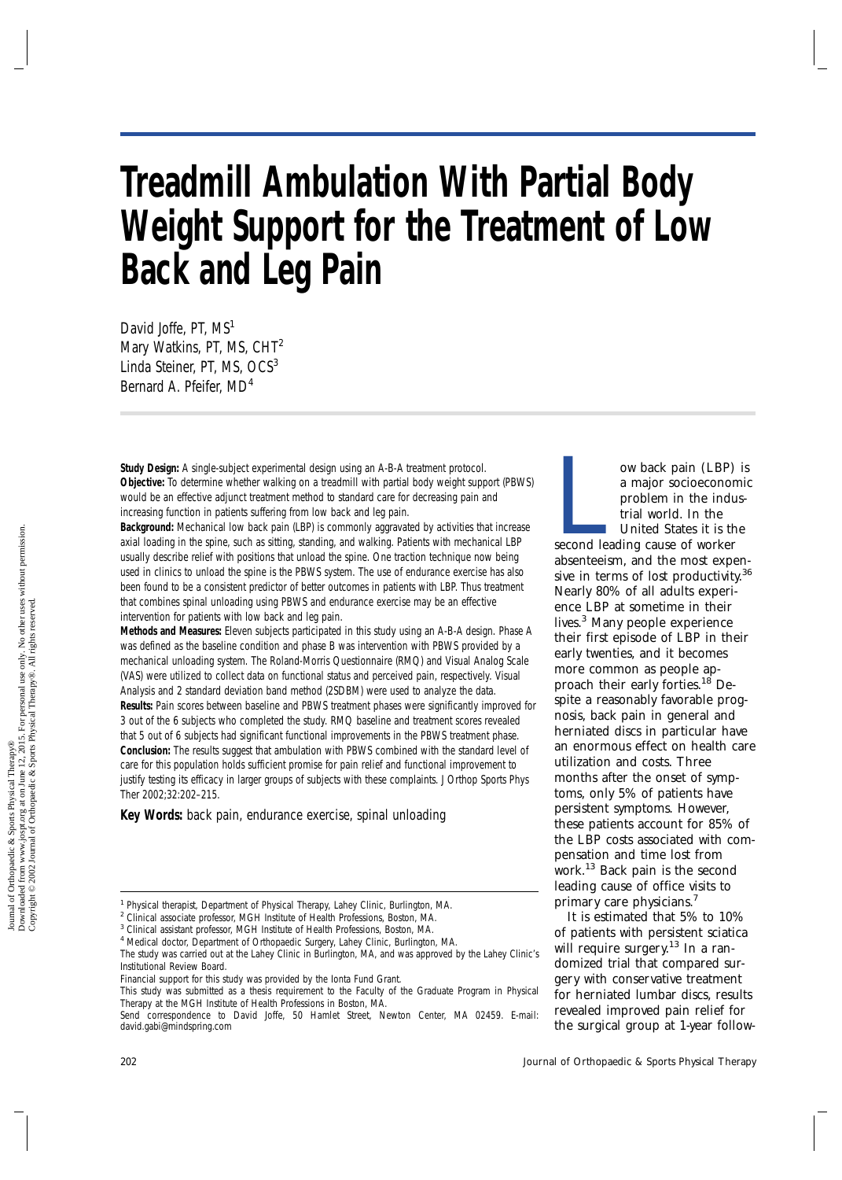# **Treadmill Ambulation With Partial Body Weight Support for the Treatment of Low Back and Leg Pain**

*David Joffe, PT, MS*<sup>1</sup> *Mary Watkins, PT, MS, CHT*<sup>2</sup> *Linda Steiner, PT, MS, OCS*<sup>3</sup> *Bernard A. Pfeifer, MD*<sup>4</sup>

**Study Design:** A single-subject experimental design using an A-B-A treatment protocol. **Objective:** To determine whether walking on a treadmill with partial body weight support (PBWS) would be an effective adjunct treatment method to standard care for decreasing pain and increasing function in patients suffering from low back and leg pain.

**Background:** Mechanical low back pain (LBP) is commonly aggravated by activities that increase axial loading in the spine, such as sitting, standing, and walking. Patients with mechanical LBP usually describe relief with positions that unload the spine. One traction technique now being used in clinics to unload the spine is the PBWS system. The use of endurance exercise has also been found to be a consistent predictor of better outcomes in patients with LBP. Thus treatment that combines spinal unloading using PBWS and endurance exercise may be an effective intervention for patients with low back and leg pain.

**Methods and Measures:** Eleven subjects participated in this study using an A-B-A design. Phase A was defined as the baseline condition and phase B was intervention with PBWS provided by a mechanical unloading system. The Roland-Morris Questionnaire (RMQ) and Visual Analog Scale (VAS) were utilized to collect data on functional status and perceived pain, respectively. Visual Analysis and 2 standard deviation band method (2SDBM) were used to analyze the data. **Results:** Pain scores between baseline and PBWS treatment phases were significantly improved for 3 out of the 6 subjects who completed the study. RMQ baseline and treatment scores revealed that 5 out of 6 subjects had significant functional improvements in the PBWS treatment phase. **Conclusion:** The results suggest that ambulation with PBWS combined with the standard level of care for this population holds sufficient promise for pain relief and functional improvement to justify testing its efficacy in larger groups of subjects with these complaints. *J Orthop Sports Phys Ther 2002;32:202–215.*

*Key Words: back pain, endurance exercise, spinal unloading*

*Financial support for this study was provided by the Ionta Fund Grant.*

ow back pain (LBP) is<br>a major socioeconomic<br>problem in the indus-<br>trial world. In the<br>United States it is the<br>second leading cause of worker<br>absenteeism, and the most expena major socioeconomic problem in the industrial world. In the United States it is the

second leading cause of worker absenteeism, and the most expensive in terms of lost productivity.<sup>36</sup> Nearly 80% of all adults experience LBP at sometime in their lives.<sup>3</sup> Many people experience their first episode of LBP in their early twenties, and it becomes more common as people approach their early forties.<sup>18</sup> Despite a reasonably favorable prognosis, back pain in general and herniated discs in particular have an enormous effect on health care utilization and costs. Three months after the onset of symptoms, only 5% of patients have persistent symptoms. However, these patients account for 85% of the LBP costs associated with compensation and time lost from work.13 Back pain is the second leading cause of office visits to primary care physicians.<sup>7</sup>

It is estimated that 5% to 10% of patients with persistent sciatica will require surgery.<sup>13</sup> In a randomized trial that compared surgery with conservative treatment for herniated lumbar discs, results revealed improved pain relief for the surgical group at 1-year follow-

*<sup>1</sup> Physical therapist, Department of Physical Therapy, Lahey Clinic, Burlington, MA.*

*<sup>2</sup> Clinical associate professor, MGH Institute of Health Professions, Boston, MA.*

*<sup>3</sup> Clinical assistant professor, MGH Institute of Health Professions, Boston, MA.*

*<sup>4</sup> Medical doctor, Department of Orthopaedic Surgery, Lahey Clinic, Burlington, MA.*

*The study was carried out at the Lahey Clinic in Burlington, MA, and was approved by the Lahey Clinic's Institutional Review Board.*

*This study was submitted as a thesis requirement to the Faculty of the Graduate Program in Physical Therapy at the MGH Institute of Health Professions in Boston, MA.*

*Send correspondence to David Joffe, 50 Hamlet Street, Newton Center, MA 02459. E-mail: david.gabi@mindspring.com*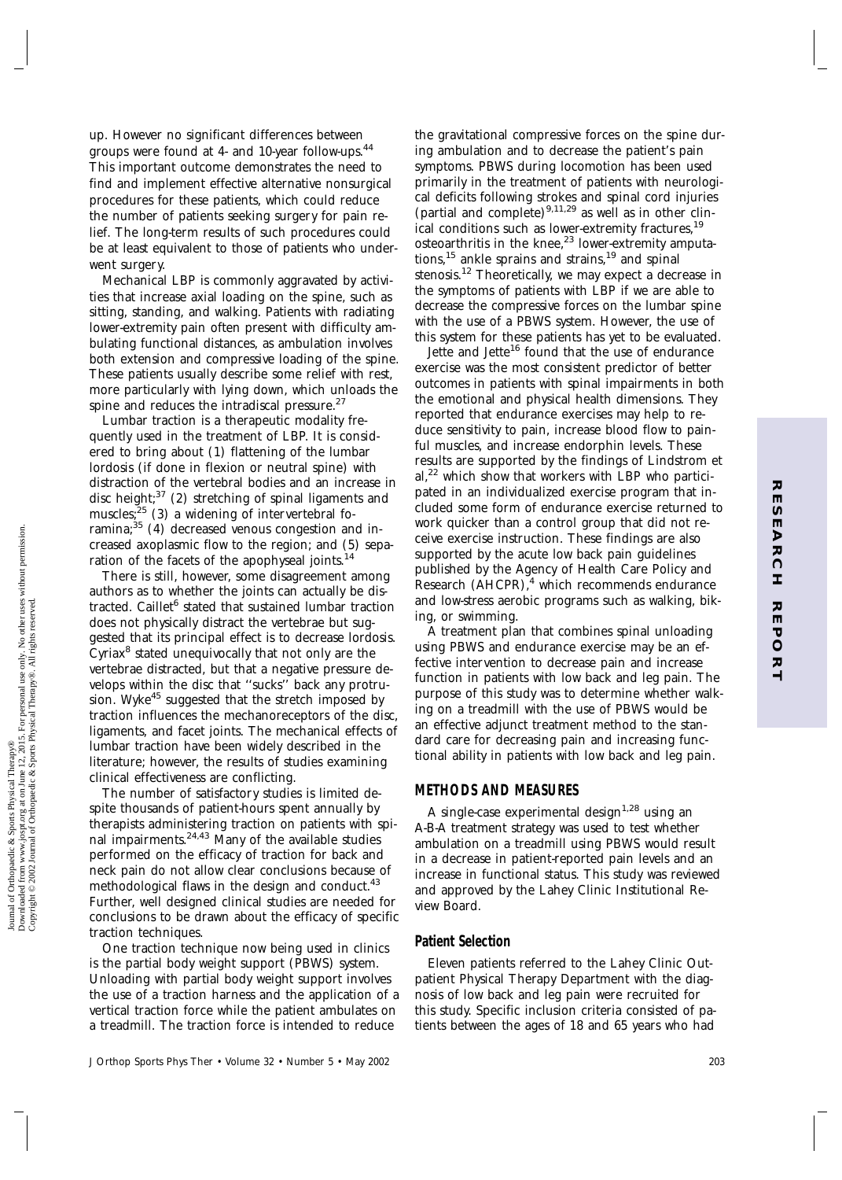up. However no significant differences between groups were found at 4- and 10-year follow-ups.44 This important outcome demonstrates the need to find and implement effective alternative nonsurgical procedures for these patients, which could reduce the number of patients seeking surgery for pain relief. The long-term results of such procedures could be at least equivalent to those of patients who underwent surgery.

Mechanical LBP is commonly aggravated by activities that increase axial loading on the spine, such as sitting, standing, and walking. Patients with radiating lower-extremity pain often present with difficulty ambulating functional distances, as ambulation involves both extension and compressive loading of the spine. These patients usually describe some relief with rest, more particularly with lying down, which unloads the spine and reduces the intradiscal pressure.<sup>27</sup>

Lumbar traction is a therapeutic modality frequently used in the treatment of LBP. It is considered to bring about (1) flattening of the lumbar lordosis (if done in flexion or neutral spine) with distraction of the vertebral bodies and an increase in disc height; $37$  (2) stretching of spinal ligaments and muscles; $^{25}$  (3) a widening of intervertebral foramina; $35$  (4) decreased venous congestion and increased axoplasmic flow to the region; and (5) separation of the facets of the apophyseal joints.<sup>1</sup>

There is still, however, some disagreement among authors as to whether the joints can actually be distracted. Caillet<sup>6</sup> stated that sustained lumbar traction does not physically distract the vertebrae but suggested that its principal effect is to decrease lordosis. Cyriax8 stated unequivocally that not only are the vertebrae distracted, but that a negative pressure develops within the disc that ''sucks'' back any protrusion. Wyke<sup>45</sup> suggested that the stretch imposed by traction influences the mechanoreceptors of the disc, ligaments, and facet joints. The mechanical effects of lumbar traction have been widely described in the literature; however, the results of studies examining clinical effectiveness are conflicting.

The number of satisfactory studies is limited despite thousands of patient-hours spent annually by therapists administering traction on patients with spinal impairments. $24,43$  Many of the available studies performed on the efficacy of traction for back and neck pain do not allow clear conclusions because of methodological flaws in the design and conduct.  $43$ Further, well designed clinical studies are needed for conclusions to be drawn about the efficacy of specific traction techniques.

One traction technique now being used in clinics is the partial body weight support (PBWS) system. Unloading with partial body weight support involves the use of a traction harness and the application of a vertical traction force while the patient ambulates on a treadmill. The traction force is intended to reduce

the gravitational compressive forces on the spine during ambulation and to decrease the patient's pain symptoms. PBWS during locomotion has been used primarily in the treatment of patients with neurological deficits following strokes and spinal cord injuries (partial and complete) $9,11,29$  as well as in other clinical conditions such as lower-extremity fractures, 19 osteoarthritis in the knee, $^{23}$  lower-extremity amputations,<sup>15</sup> ankle sprains and strains,<sup>19</sup> and spinal stenosis.<sup>12</sup> Theoretically, we may expect a decrease in the symptoms of patients with LBP if we are able to decrease the compressive forces on the lumbar spine with the use of a PBWS system. However, the use of this system for these patients has yet to be evaluated.

Jette and Jette<sup>16</sup> found that the use of endurance exercise was the most consistent predictor of better outcomes in patients with spinal impairments in both the emotional and physical health dimensions. They reported that endurance exercises may help to reduce sensitivity to pain, increase blood flow to painful muscles, and increase endorphin levels. These results are supported by the findings of Lindstrom et  $al<sup>22</sup>$  which show that workers with LBP who participated in an individualized exercise program that included some form of endurance exercise returned to work quicker than a control group that did not receive exercise instruction. These findings are also supported by the acute low back pain guidelines published by the Agency of Health Care Policy and Research  $(AHCPR)$ ,<sup>4</sup> which recommends endurance and low-stress aerobic programs such as walking, biking, or swimming.

A treatment plan that combines spinal unloading using PBWS and endurance exercise may be an effective intervention to decrease pain and increase function in patients with low back and leg pain. The purpose of this study was to determine whether walking on a treadmill with the use of PBWS would be an effective adjunct treatment method to the standard care for decreasing pain and increasing functional ability in patients with low back and leg pain.

## **METHODS AND MEASURES**

A single-case experimental design<sup>1,28</sup> using an A-B-A treatment strategy was used to test whether ambulation on a treadmill using PBWS would result in a decrease in patient-reported pain levels and an increase in functional status. This study was reviewed and approved by the Lahey Clinic Institutional Review Board.

## **Patient Selection**

Eleven patients referred to the Lahey Clinic Outpatient Physical Therapy Department with the diagnosis of low back and leg pain were recruited for this study. Specific inclusion criteria consisted of patients between the ages of 18 and 65 years who had

J Orthop Sports Phys Ther • Volume 32 • Number 5 • May 2002 203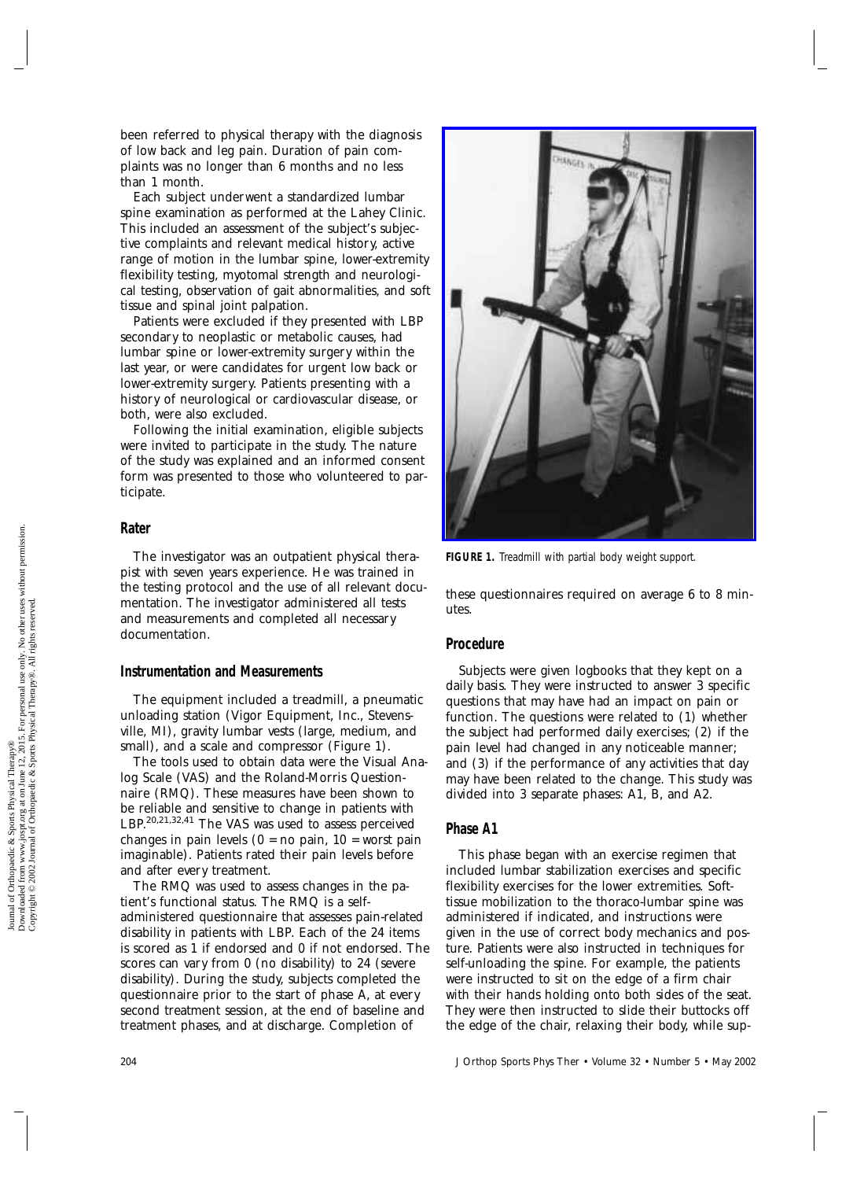been referred to physical therapy with the diagnosis of low back and leg pain. Duration of pain complaints was no longer than 6 months and no less than 1 month.

Each subject underwent a standardized lumbar spine examination as performed at the Lahey Clinic. This included an assessment of the subject's subjective complaints and relevant medical history, active range of motion in the lumbar spine, lower-extremity flexibility testing, myotomal strength and neurological testing, observation of gait abnormalities, and soft tissue and spinal joint palpation.

Patients were excluded if they presented with LBP secondary to neoplastic or metabolic causes, had lumbar spine or lower-extremity surgery within the last year, or were candidates for urgent low back or lower-extremity surgery. Patients presenting with a history of neurological or cardiovascular disease, or both, were also excluded.

Following the initial examination, eligible subjects were invited to participate in the study. The nature of the study was explained and an informed consent form was presented to those who volunteered to participate.

# **Rater**

The investigator was an outpatient physical therapist with seven years experience. He was trained in the testing protocol and the use of all relevant documentation. The investigator administered all tests and measurements and completed all necessary documentation.

#### **Instrumentation and Measurements**

The equipment included a treadmill, a pneumatic unloading station (Vigor Equipment, Inc., Stevensville, MI), gravity lumbar vests (large, medium, and small), and a scale and compressor (Figure 1).

The tools used to obtain data were the Visual Analog Scale (VAS) and the Roland-Morris Questionnaire (RMQ). These measures have been shown to be reliable and sensitive to change in patients with LBP.<sup>20,21,32,41</sup> The VAS was used to assess perceived changes in pain levels  $(0 = no \,\text{pain}, 10 = \text{worst} \,\text{pain})$ imaginable). Patients rated their pain levels before and after every treatment.

The RMQ was used to assess changes in the patient's functional status. The RMQ is a selfadministered questionnaire that assesses pain-related disability in patients with LBP. Each of the 24 items is scored as 1 if endorsed and 0 if not endorsed. The scores can vary from 0 (no disability) to 24 (severe disability). During the study, subjects completed the questionnaire prior to the start of phase A, at every second treatment session, at the end of baseline and treatment phases, and at discharge. Completion of



FIGURE 1. Treadmill with partial body weight support.

these questionnaires required on average 6 to 8 minutes.

#### **Procedure**

Subjects were given logbooks that they kept on a daily basis. They were instructed to answer 3 specific questions that may have had an impact on pain or function. The questions were related to (1) whether the subject had performed daily exercises; (2) if the pain level had changed in any noticeable manner; and (3) if the performance of any activities that day may have been related to the change. This study was divided into 3 separate phases: A1, B, and A2.

### **Phase A1**

This phase began with an exercise regimen that included lumbar stabilization exercises and specific flexibility exercises for the lower extremities. Softtissue mobilization to the thoraco-lumbar spine was administered if indicated, and instructions were given in the use of correct body mechanics and posture. Patients were also instructed in techniques for self-unloading the spine. For example, the patients were instructed to sit on the edge of a firm chair with their hands holding onto both sides of the seat. They were then instructed to slide their buttocks off the edge of the chair, relaxing their body, while sup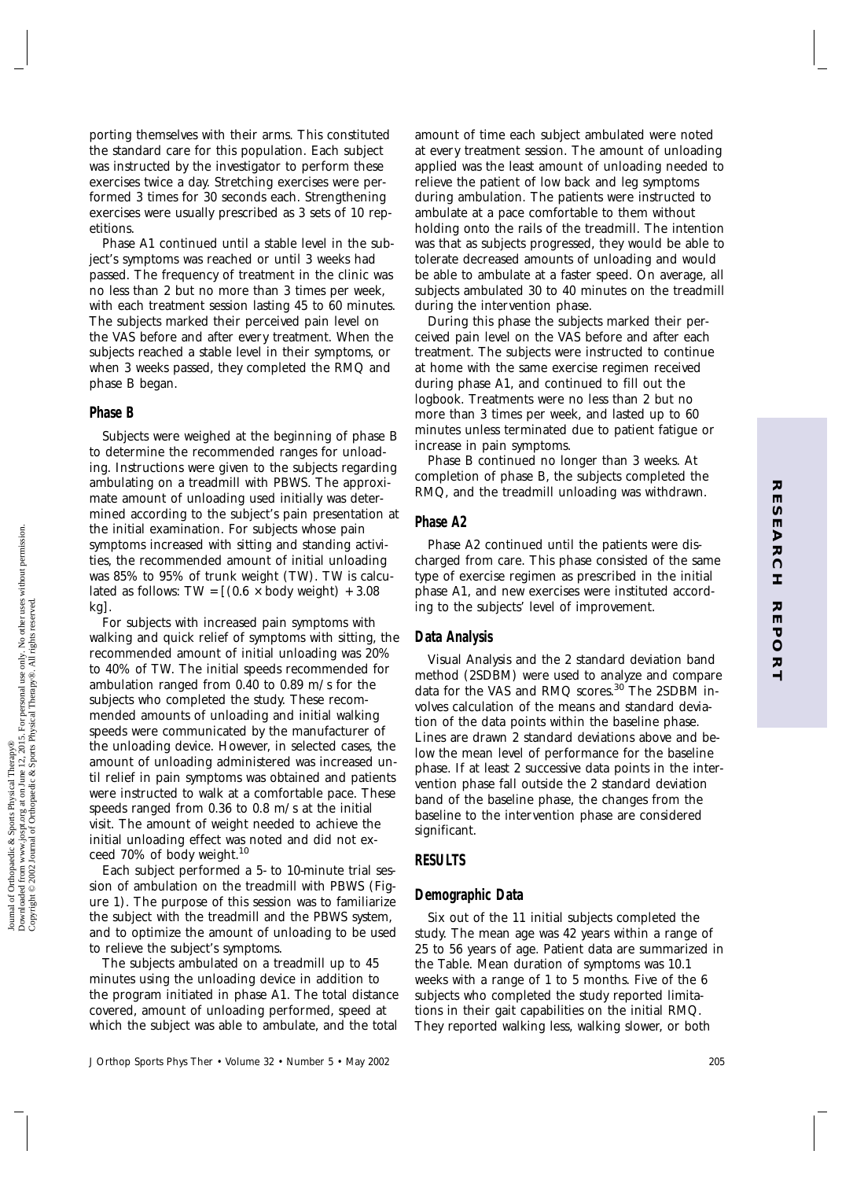porting themselves with their arms. This constituted the standard care for this population. Each subject was instructed by the investigator to perform these exercises twice a day. Stretching exercises were performed 3 times for 30 seconds each. Strengthening exercises were usually prescribed as 3 sets of 10 repetitions.

Phase A1 continued until a stable level in the subject's symptoms was reached or until 3 weeks had passed. The frequency of treatment in the clinic was no less than 2 but no more than 3 times per week, with each treatment session lasting 45 to 60 minutes. The subjects marked their perceived pain level on the VAS before and after every treatment. When the subjects reached a stable level in their symptoms, or when 3 weeks passed, they completed the RMQ and phase B began.

#### **Phase B**

Subjects were weighed at the beginning of phase B to determine the recommended ranges for unloading. Instructions were given to the subjects regarding ambulating on a treadmill with PBWS. The approximate amount of unloading used initially was determined according to the subject's pain presentation at the initial examination. For subjects whose pain symptoms increased with sitting and standing activities, the recommended amount of initial unloading was 85% to 95% of trunk weight (TW). TW is calculated as follows: TW =  $[(0.6 \times body weight) + 3.08]$ kg].

For subjects with increased pain symptoms with walking and quick relief of symptoms with sitting, the recommended amount of initial unloading was 20% to 40% of TW. The initial speeds recommended for ambulation ranged from 0.40 to 0.89 m/s for the subjects who completed the study. These recommended amounts of unloading and initial walking speeds were communicated by the manufacturer of the unloading device. However, in selected cases, the amount of unloading administered was increased until relief in pain symptoms was obtained and patients were instructed to walk at a comfortable pace. These speeds ranged from 0.36 to 0.8 m/s at the initial visit. The amount of weight needed to achieve the initial unloading effect was noted and did not exceed 70% of body weight.<sup>10</sup>

Each subject performed a 5- to 10-minute trial session of ambulation on the treadmill with PBWS (Figure 1). The purpose of this session was to familiarize the subject with the treadmill and the PBWS system, and to optimize the amount of unloading to be used to relieve the subject's symptoms.

The subjects ambulated on a treadmill up to 45 minutes using the unloading device in addition to the program initiated in phase A1. The total distance covered, amount of unloading performed, speed at which the subject was able to ambulate, and the total amount of time each subject ambulated were noted at every treatment session. The amount of unloading applied was the least amount of unloading needed to relieve the patient of low back and leg symptoms during ambulation. The patients were instructed to ambulate at a pace comfortable to them without holding onto the rails of the treadmill. The intention was that as subjects progressed, they would be able to tolerate decreased amounts of unloading and would be able to ambulate at a faster speed. On average, all subjects ambulated 30 to 40 minutes on the treadmill during the intervention phase.

During this phase the subjects marked their perceived pain level on the VAS before and after each treatment. The subjects were instructed to continue at home with the same exercise regimen received during phase A1, and continued to fill out the logbook. Treatments were no less than 2 but no more than 3 times per week, and lasted up to 60 minutes unless terminated due to patient fatigue or increase in pain symptoms.

Phase B continued no longer than 3 weeks. At completion of phase B, the subjects completed the RMQ, and the treadmill unloading was withdrawn.

#### **Phase A2**

Phase A2 continued until the patients were discharged from care. This phase consisted of the same type of exercise regimen as prescribed in the initial phase A1, and new exercises were instituted according to the subjects' level of improvement.

#### **Data Analysis**

Visual Analysis and the 2 standard deviation band method (2SDBM) were used to analyze and compare data for the VAS and RMQ scores.<sup>30</sup> The 2SDBM involves calculation of the means and standard deviation of the data points within the baseline phase. Lines are drawn 2 standard deviations above and below the mean level of performance for the baseline phase. If at least 2 successive data points in the intervention phase fall outside the 2 standard deviation band of the baseline phase, the changes from the baseline to the intervention phase are considered significant.

## **RESULTS**

#### **Demographic Data**

Six out of the 11 initial subjects completed the study. The mean age was 42 years within a range of 25 to 56 years of age. Patient data are summarized in the Table. Mean duration of symptoms was 10.1 weeks with a range of 1 to 5 months. Five of the 6 subjects who completed the study reported limitations in their gait capabilities on the initial RMQ. They reported walking less, walking slower, or both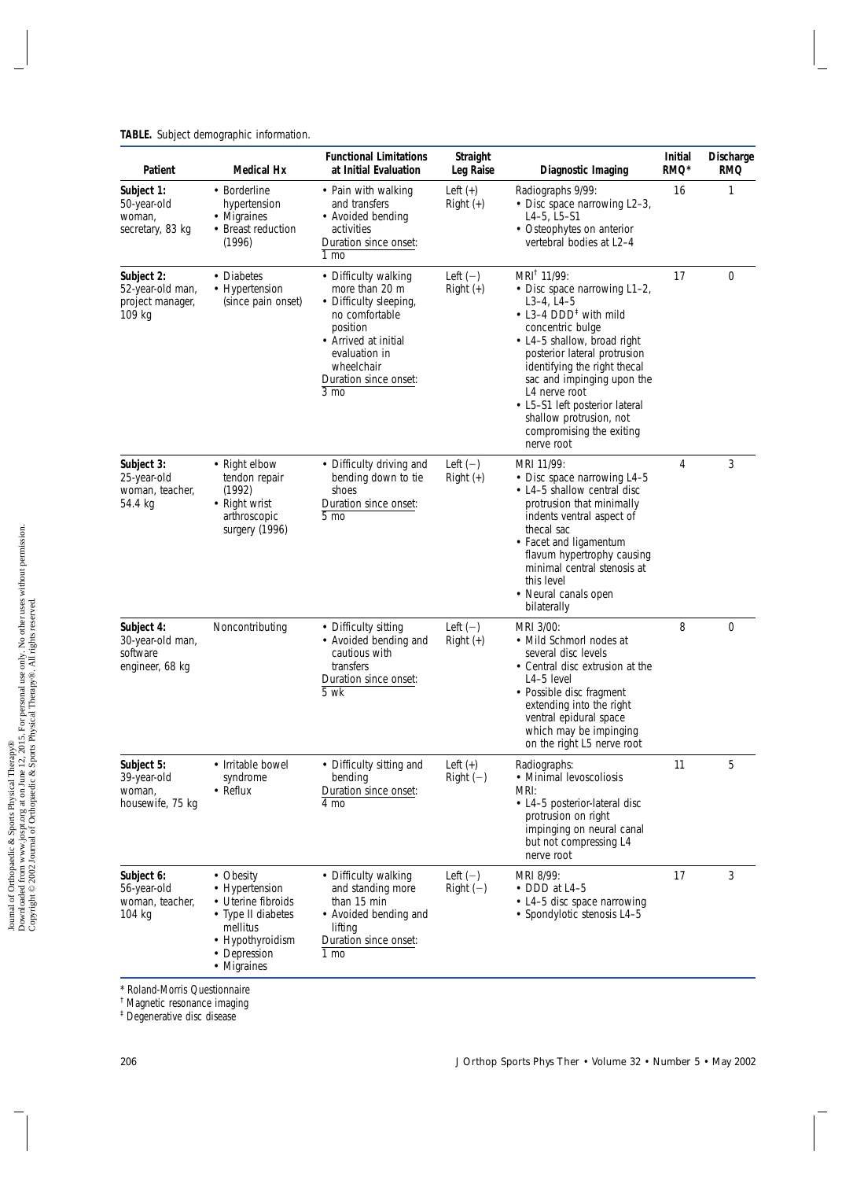# **TABLE.** Subject demographic information.

| Patient                                                       | <b>Medical Hx</b>                                                                                                                      | <b>Functional Limitations</b><br>at Initial Evaluation                                                                                                                                             | Straight<br>Leg Raise     | Diagnostic Imaging                                                                                                                                                                                                                                                                                                                                                                    | Initial<br>RMQ* | Discharge<br><b>RMQ</b> |
|---------------------------------------------------------------|----------------------------------------------------------------------------------------------------------------------------------------|----------------------------------------------------------------------------------------------------------------------------------------------------------------------------------------------------|---------------------------|---------------------------------------------------------------------------------------------------------------------------------------------------------------------------------------------------------------------------------------------------------------------------------------------------------------------------------------------------------------------------------------|-----------------|-------------------------|
| Subject 1:<br>50-year-old<br>woman,<br>secretary, 83 kg       | • Borderline<br>hypertension<br>• Migraines<br>• Breast reduction<br>(1996)                                                            | • Pain with walking<br>and transfers<br>• Avoided bending<br>activities<br>Duration since onset:<br>1 <sub>mo</sub>                                                                                | Left $(+)$<br>$Right (+)$ | Radiographs 9/99:<br>• Disc space narrowing L2-3,<br>$L4-5$ , $L5-S1$<br>• Osteophytes on anterior<br>vertebral bodies at L2-4                                                                                                                                                                                                                                                        | 16              | 1                       |
| Subject 2:<br>52-year-old man,<br>project manager,<br>109 kg  | • Diabetes<br>• Hypertension<br>(since pain onset)                                                                                     | • Difficulty walking<br>more than 20 m<br>• Difficulty sleeping,<br>no comfortable<br>position<br>• Arrived at initial<br>evaluation in<br>wheelchair<br>Duration since onset:<br>$\frac{1}{3}$ mo | Left $(-)$<br>$Right (+)$ | MRI <sup>†</sup> 11/99:<br>• Disc space narrowing L1-2,<br>$L3-4, L4-5$<br>• L3-4 DDD <sup>‡</sup> with mild<br>concentric bulge<br>• L4-5 shallow, broad right<br>posterior lateral protrusion<br>identifying the right thecal<br>sac and impinging upon the<br>L4 nerve root<br>• L5-S1 left posterior lateral<br>shallow protrusion, not<br>compromising the exiting<br>nerve root | 17              | $\mathbf 0$             |
| Subject 3:<br>25-year-old<br>woman, teacher,<br>54.4 kg       | • Right elbow<br>tendon repair<br>(1992)<br>• Right wrist<br>arthroscopic<br>surgery (1996)                                            | • Difficulty driving and<br>bending down to tie<br>shoes<br>Duration since onset:<br>5 mo                                                                                                          | Left $(-)$<br>$Right (+)$ | MRI 11/99:<br>• Disc space narrowing L4-5<br>• L4-5 shallow central disc<br>protrusion that minimally<br>indents ventral aspect of<br>thecal sac<br>• Facet and ligamentum<br>flavum hypertrophy causing<br>minimal central stenosis at<br>this level<br>• Neural canals open<br>bilaterally                                                                                          | 4               | 3                       |
| Subject 4:<br>30-year-old man,<br>software<br>engineer, 68 kg | Noncontributing                                                                                                                        | • Difficulty sitting<br>• Avoided bending and<br>cautious with<br>transfers<br>Duration since onset:<br>5 wk                                                                                       | Left $(-)$<br>$Right (+)$ | MRI 3/00:<br>• Mild Schmorl nodes at<br>several disc levels<br>• Central disc extrusion at the<br>L4-5 level<br>• Possible disc fragment<br>extending into the right<br>ventral epidural space<br>which may be impinging<br>on the right L5 nerve root                                                                                                                                | 8               | $\overline{0}$          |
| Subject 5:<br>39-year-old<br>woman,<br>housewife, 75 kg       | • Irritable bowel<br>syndrome<br>$\bullet$ Reflux                                                                                      | • Difficulty sitting and<br>bending<br>Duration since onset:<br>4 mo                                                                                                                               | Left $(+)$<br>$Right (-)$ | Radiographs:<br>• Minimal levoscoliosis<br>MRI:<br>• L4-5 posterior-lateral disc<br>protrusion on right<br>impinging on neural canal<br>but not compressing L4<br>nerve root                                                                                                                                                                                                          | 11              | 5                       |
| Subject 6:<br>56-year-old<br>woman, teacher,<br>104 kg        | • Obesity<br>• Hypertension<br>• Uterine fibroids<br>• Type II diabetes<br>mellitus<br>• Hypothyroidism<br>• Depression<br>• Migraines | • Difficulty walking<br>and standing more<br>than 15 min<br>• Avoided bending and<br>lifting<br>Duration since onset:<br>1 mo                                                                      | Left $(-)$<br>$Right (-)$ | MRI 8/99:<br>$\bullet$ DDD at L4-5<br>• L4-5 disc space narrowing<br>• Spondylotic stenosis L4-5                                                                                                                                                                                                                                                                                      | 17              | 3                       |

\* Roland-Morris Questionnaire

† Magnetic resonance imaging

‡ Degenerative disc disease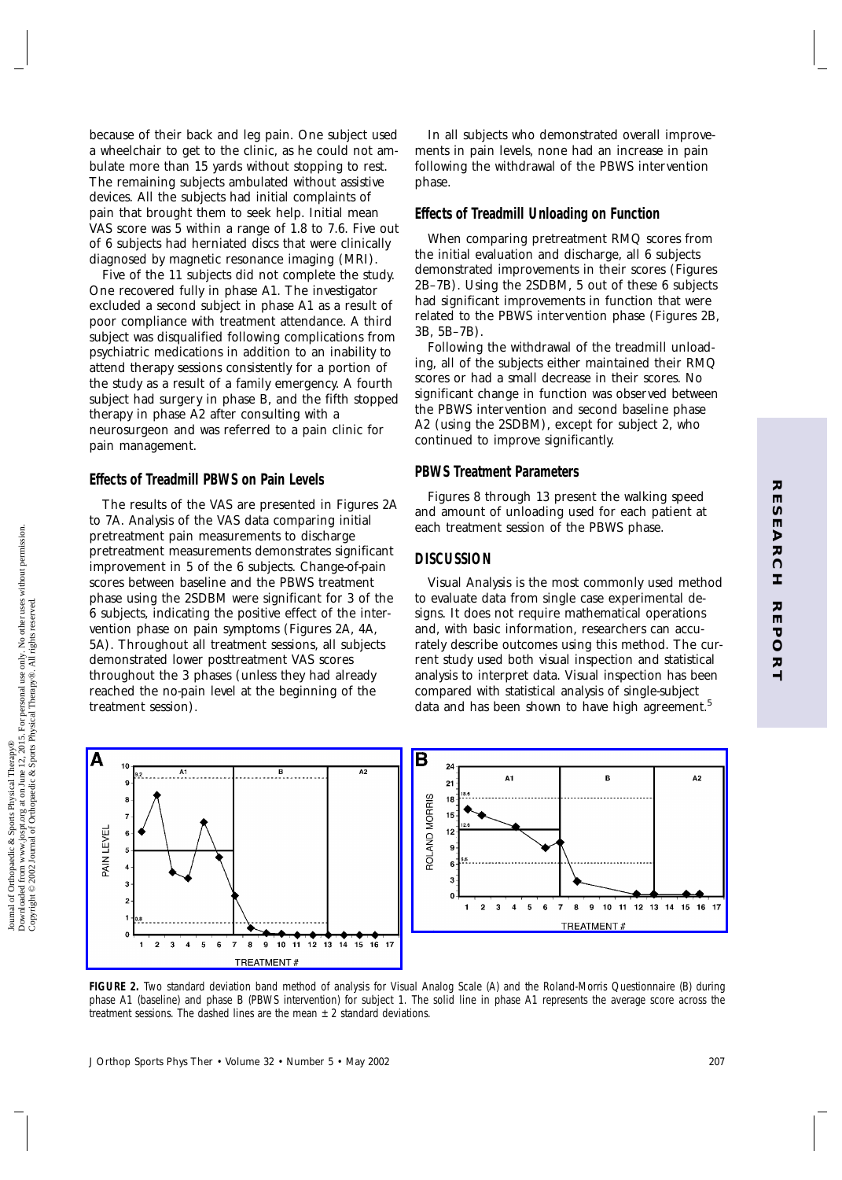because of their back and leg pain. One subject used a wheelchair to get to the clinic, as he could not ambulate more than 15 yards without stopping to rest. The remaining subjects ambulated without assistive devices. All the subjects had initial complaints of pain that brought them to seek help. Initial mean VAS score was 5 within a range of 1.8 to 7.6. Five out of 6 subjects had herniated discs that were clinically diagnosed by magnetic resonance imaging (MRI).

Five of the 11 subjects did not complete the study. One recovered fully in phase A1. The investigator excluded a second subject in phase A1 as a result of poor compliance with treatment attendance. A third subject was disqualified following complications from psychiatric medications in addition to an inability to attend therapy sessions consistently for a portion of the study as a result of a family emergency. A fourth subject had surgery in phase B, and the fifth stopped therapy in phase A2 after consulting with a neurosurgeon and was referred to a pain clinic for pain management.

#### **Effects of Treadmill PBWS on Pain Levels**

A<sub>1</sub>

Journal of Orthopaedic & Sports Physical Therapy®

Downloaded from www.jospt.org at on June 12, 2015. For personal use only. No other uses without permission.

Journal of Orthopaedic & Sports Physical Therapy®<br>Downloaded from www.jospt.org at on June 12, 2015. For personal use only. No other uses without permission.<br>Copyright © 2002 Journal of Orthopaedic & Sports Physical Therap

Copyright © 2002 Journal of Orthopaedic & Sports Physical Therapy®. All rights reserved.

A

The results of the VAS are presented in Figures 2A to 7A. Analysis of the VAS data comparing initial pretreatment pain measurements to discharge pretreatment measurements demonstrates significant improvement in 5 of the 6 subjects. Change-of-pain scores between baseline and the PBWS treatment phase using the 2SDBM were significant for 3 of the 6 subjects, indicating the positive effect of the intervention phase on pain symptoms (Figures 2A, 4A, 5A). Throughout all treatment sessions, all subjects demonstrated lower posttreatment VAS scores throughout the 3 phases (unless they had already reached the no-pain level at the beginning of the treatment session).

8<br>....*..*....

In all subjects who demonstrated overall improvements in pain levels, none had an increase in pain following the withdrawal of the PBWS intervention phase.

## **Effects of Treadmill Unloading on Function**

When comparing pretreatment RMQ scores from the initial evaluation and discharge, all 6 subjects demonstrated improvements in their scores (Figures 2B–7B). Using the 2SDBM, 5 out of these 6 subjects had significant improvements in function that were related to the PBWS intervention phase (Figures 2B, 3B, 5B–7B).

Following the withdrawal of the treadmill unloading, all of the subjects either maintained their RMQ scores or had a small decrease in their scores. No significant change in function was observed between the PBWS intervention and second baseline phase A2 (using the 2SDBM), except for subject 2, who continued to improve significantly.

## **PBWS Treatment Parameters**

Figures 8 through 13 present the walking speed and amount of unloading used for each patient at each treatment session of the PBWS phase.

#### **DISCUSSION**

Visual Analysis is the most commonly used method to evaluate data from single case experimental designs. It does not require mathematical operations and, with basic information, researchers can accurately describe outcomes using this method. The current study used both visual inspection and statistical analysis to interpret data. Visual inspection has been compared with statistical analysis of single-subject data and has been shown to have high agreement.<sup>5</sup>

 $\mathbf{R}$ 



R

 $\mathbf{A}$ 

 $21$ 18  $\mathbf{A}$ 1

**FIGURE 2.** Two standard deviation band method of analysis for Visual Analog Scale (A) and the Roland-Morris Questionnaire (B) during phase A1 (baseline) and phase B (PBWS intervention) for subject 1. The solid line in phase A1 represents the average score across the treatment sessions. The dashed lines are the mean  $\pm$  2 standard deviations.

J Orthop Sports Phys Ther • Volume 32 • Number 5 • May 2002 207

 $\overline{a}$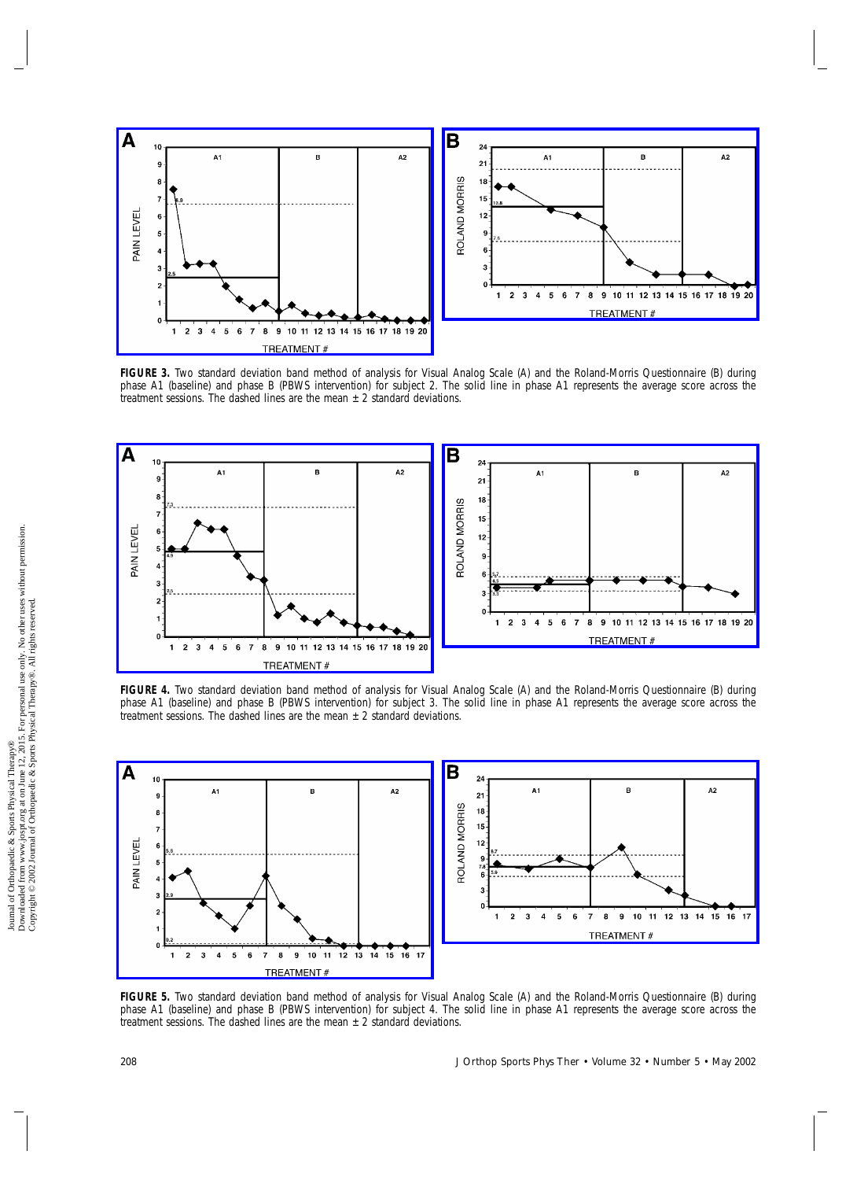

**FIGURE 3.** Two standard deviation band method of analysis for Visual Analog Scale (A) and the Roland-Morris Questionnaire (B) during phase A1 (baseline) and phase B (PBWS intervention) for subject 2. The solid line in phase A1 represents the average score across the treatment sessions. The dashed lines are the mean  $\pm$  2 standard deviations.



**FIGURE 4.** Two standard deviation band method of analysis for Visual Analog Scale (A) and the Roland-Morris Questionnaire (B) during phase A1 (baseline) and phase B (PBWS intervention) for subject 3. The solid line in phase A1 represents the average score across the treatment sessions. The dashed lines are the mean  $\pm$  2 standard deviations.



**FIGURE 5.** Two standard deviation band method of analysis for Visual Analog Scale (A) and the Roland-Morris Questionnaire (B) during phase A1 (baseline) and phase B (PBWS intervention) for subject 4. The solid line in phase A1 represents the average score across the treatment sessions. The dashed lines are the mean  $\pm$  2 standard deviations.

208 J Orthop Sports Phys Ther • Volume 32 • Number 5 • May 2002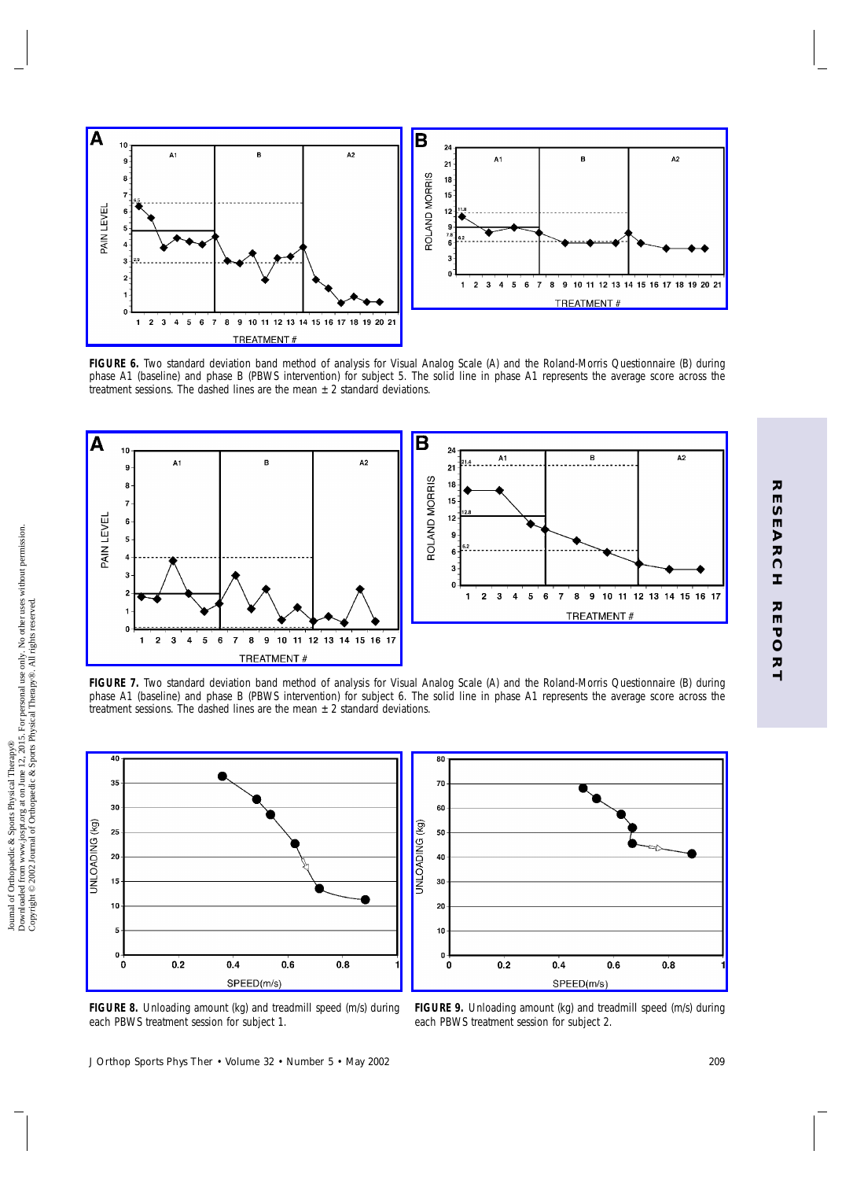

**FIGURE 6.** Two standard deviation band method of analysis for Visual Analog Scale (A) and the Roland-Morris Questionnaire (B) during phase A1 (baseline) and phase B (PBWS intervention) for subject 5. The solid line in phase A1 represents the average score across the treatment sessions. The dashed lines are the mean  $\pm$  2 standard deviations.



**FIGURE 7.** Two standard deviation band method of analysis for Visual Analog Scale (A) and the Roland-Morris Questionnaire (B) during phase A1 (baseline) and phase B (PBWS intervention) for subject 6. The solid line in phase A1 represents the average score across the treatment sessions. The dashed lines are the mean  $\pm$  2 standard deviations.





**FIGURE 8.** Unloading amount (kg) and treadmill speed (m/s) during each PBWS treatment session for subject 1.

**FIGURE 9.** Unloading amount (kg) and treadmill speed (m/s) during each PBWS treatment session for subject 2.

J Orthop Sports Phys Ther • Volume 32 • Number 5 • May 2002 209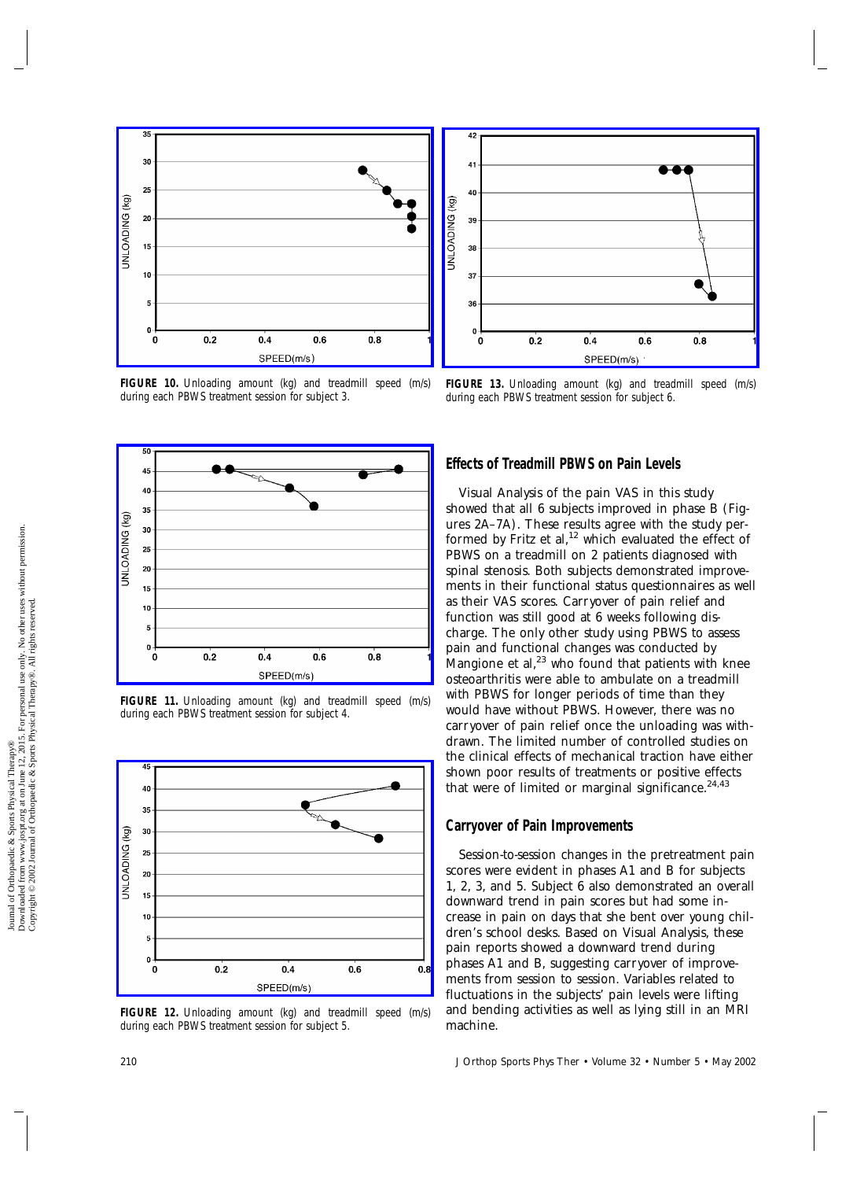

**FIGURE 10.** Unloading amount (kg) and treadmill speed (m/s) during each PBWS treatment session for subject 3.



**FIGURE 11.** Unloading amount (kg) and treadmill speed (m/s) during each PBWS treatment session for subject 4.



**FIGURE 12.** Unloading amount (kg) and treadmill speed (m/s) during each PBWS treatment session for subject 5.



**FIGURE 13.** Unloading amount (kg) and treadmill speed (m/s) during each PBWS treatment session for subject 6.

# **Effects of Treadmill PBWS on Pain Levels**

Visual Analysis of the pain VAS in this study showed that all 6 subjects improved in phase B (Figures 2A–7A). These results agree with the study performed by Fritz et al,  $12$  which evaluated the effect of PBWS on a treadmill on 2 patients diagnosed with spinal stenosis. Both subjects demonstrated improvements in their functional status questionnaires as well as their VAS scores. Carryover of pain relief and function was still good at 6 weeks following discharge. The only other study using PBWS to assess pain and functional changes was conducted by Mangione et al, $^{23}$  who found that patients with knee osteoarthritis were able to ambulate on a treadmill with PBWS for longer periods of time than they would have without PBWS. However, there was no carryover of pain relief once the unloading was withdrawn. The limited number of controlled studies on the clinical effects of mechanical traction have either shown poor results of treatments or positive effects that were of limited or marginal significance. $24,43$ 

## **Carryover of Pain Improvements**

Session-to-session changes in the pretreatment pain scores were evident in phases A1 and B for subjects 1, 2, 3, and 5. Subject 6 also demonstrated an overall downward trend in pain scores but had some increase in pain on days that she bent over young children's school desks. Based on Visual Analysis, these pain reports showed a downward trend during phases A1 and B, suggesting carryover of improvements from session to session. Variables related to fluctuations in the subjects' pain levels were lifting and bending activities as well as lying still in an MRI machine.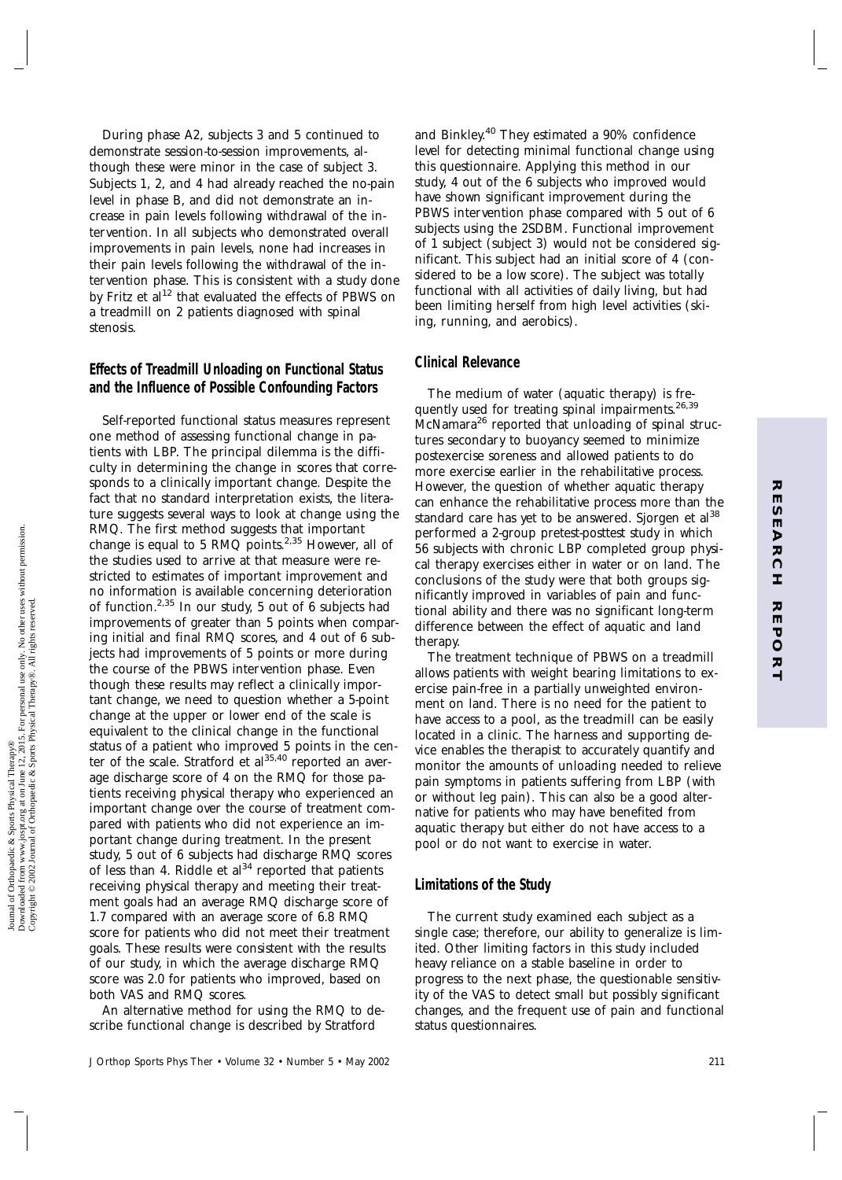During phase A2, subjects 3 and 5 continued to demonstrate session-to-session improvements, although these were minor in the case of subject 3. Subjects 1, 2, and 4 had already reached the no-pain level in phase B, and did not demonstrate an increase in pain levels following withdrawal of the intervention. In all subjects who demonstrated overall improvements in pain levels, none had increases in their pain levels following the withdrawal of the intervention phase. This is consistent with a study done by Fritz et al<sup>12</sup> that evaluated the effects of PBWS on a treadmill on 2 patients diagnosed with spinal stenosis.

# **Effects of Treadmill Unloading on Functional Status and the Influence of Possible Confounding Factors**

Self-reported functional status measures represent one method of assessing functional change in patients with LBP. The principal dilemma is the difficulty in determining the change in scores that corresponds to a clinically important change. Despite the fact that no standard interpretation exists, the literature suggests several ways to look at change using the RMQ. The first method suggests that important change is equal to 5 RMQ points.<sup>2,35</sup> However, all of the studies used to arrive at that measure were restricted to estimates of important improvement and no information is available concerning deterioration of function.<sup>2,35</sup> In our study, 5 out of  $\overrightarrow{6}$  subjects had improvements of greater than 5 points when comparing initial and final RMQ scores, and 4 out of 6 subjects had improvements of 5 points or more during the course of the PBWS intervention phase. Even though these results may reflect a clinically important change, we need to question whether a 5-point change at the upper or lower end of the scale is equivalent to the clinical change in the functional status of a patient who improved 5 points in the center of the scale. Stratford et al $^{35,40}$  reported an average discharge score of 4 on the RMQ for those patients receiving physical therapy who experienced an important change over the course of treatment compared with patients who did not experience an important change during treatment. In the present study, 5 out of 6 subjects had discharge RMQ scores of less than 4. Riddle et  $al^{34}$  reported that patients receiving physical therapy and meeting their treatment goals had an average RMQ discharge score of 1.7 compared with an average score of 6.8 RMQ score for patients who did not meet their treatment goals. These results were consistent with the results of our study, in which the average discharge RMQ score was 2.0 for patients who improved, based on both VAS and RMQ scores.

An alternative method for using the RMQ to describe functional change is described by Stratford

and Binkley.40 They estimated a 90% confidence level for detecting minimal functional change using this questionnaire. Applying this method in our study, 4 out of the 6 subjects who improved would have shown significant improvement during the PBWS intervention phase compared with 5 out of 6 subjects using the 2SDBM. Functional improvement of 1 subject (subject 3) would not be considered significant. This subject had an initial score of 4 (considered to be a low score). The subject was totally functional with all activities of daily living, but had been limiting herself from high level activities (skiing, running, and aerobics).

# **Clinical Relevance**

The medium of water (aquatic therapy) is frequently used for treating spinal impairments.<sup>26,39</sup> McNamara<sup>26</sup> reported that unloading of spinal structures secondary to buoyancy seemed to minimize postexercise soreness and allowed patients to do more exercise earlier in the rehabilitative process. However, the question of whether aquatic therapy can enhance the rehabilitative process more than the standard care has yet to be answered. Sjorgen et al<sup>38</sup> performed a 2-group pretest-posttest study in which 56 subjects with chronic LBP completed group physical therapy exercises either in water or on land. The conclusions of the study were that both groups significantly improved in variables of pain and functional ability and there was no significant long-term difference between the effect of aquatic and land therapy.

The treatment technique of PBWS on a treadmill allows patients with weight bearing limitations to exercise pain-free in a partially unweighted environment on land. There is no need for the patient to have access to a pool, as the treadmill can be easily located in a clinic. The harness and supporting device enables the therapist to accurately quantify and monitor the amounts of unloading needed to relieve pain symptoms in patients suffering from LBP (with or without leg pain). This can also be a good alternative for patients who may have benefited from aquatic therapy but either do not have access to a pool or do not want to exercise in water.

## **Limitations of the Study**

The current study examined each subject as a single case; therefore, our ability to generalize is limited. Other limiting factors in this study included heavy reliance on a stable baseline in order to progress to the next phase, the questionable sensitivity of the VAS to detect small but possibly significant changes, and the frequent use of pain and functional status questionnaires.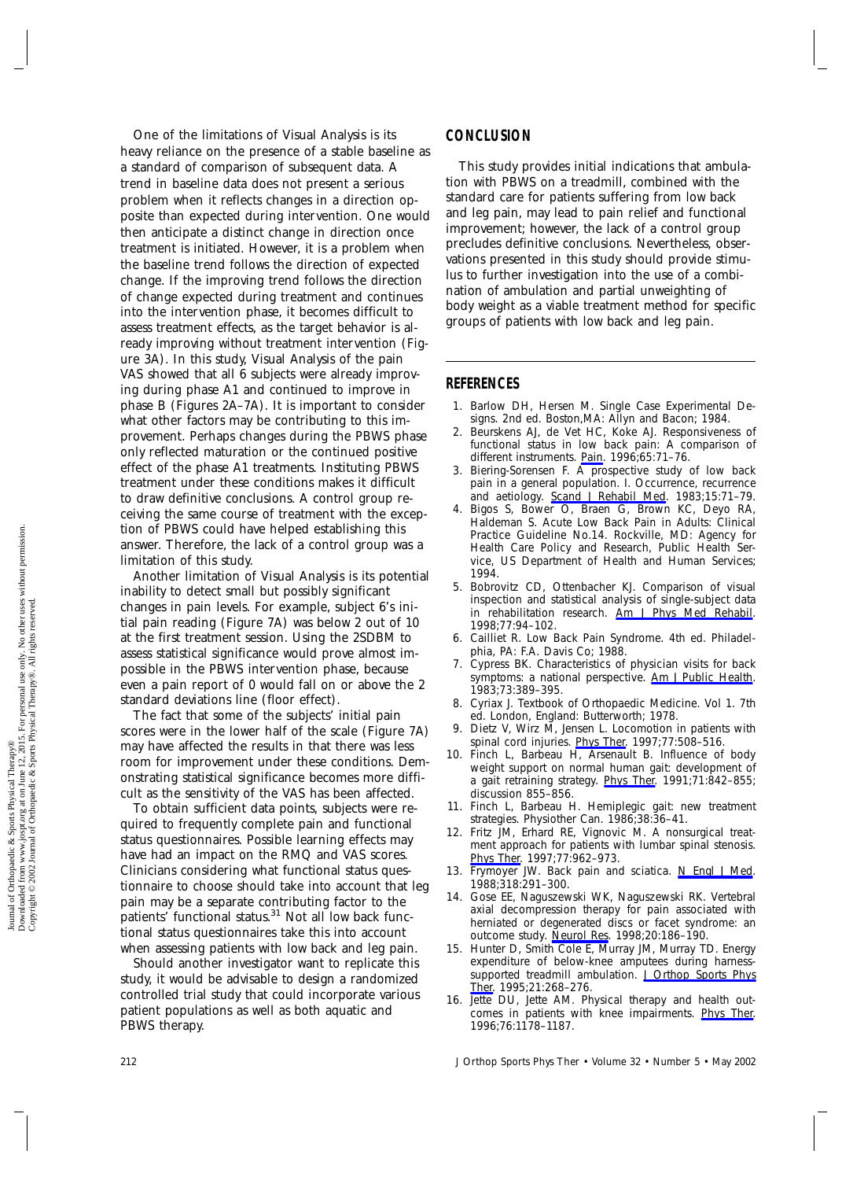One of the limitations of Visual Analysis is its heavy reliance on the presence of a stable baseline as a standard of comparison of subsequent data. A trend in baseline data does not present a serious problem when it reflects changes in a direction opposite than expected during intervention. One would then anticipate a distinct change in direction once treatment is initiated. However, it is a problem when the baseline trend follows the direction of expected change. If the improving trend follows the direction of change expected during treatment and continues into the intervention phase, it becomes difficult to assess treatment effects, as the target behavior is already improving without treatment intervention (Figure 3A). In this study, Visual Analysis of the pain VAS showed that all 6 subjects were already improving during phase A1 and continued to improve in phase B (Figures 2A–7A). It is important to consider what other factors may be contributing to this improvement. Perhaps changes during the PBWS phase only reflected maturation or the continued positive effect of the phase A1 treatments. Instituting PBWS treatment under these conditions makes it difficult to draw definitive conclusions. A control group receiving the same course of treatment with the exception of PBWS could have helped establishing this answer. Therefore, the lack of a control group was a limitation of this study.

Another limitation of Visual Analysis is its potential inability to detect small but possibly significant changes in pain levels. For example, subject 6's initial pain reading (Figure 7A) was below 2 out of 10 at the first treatment session. Using the 2SDBM to assess statistical significance would prove almost impossible in the PBWS intervention phase, because even a pain report of 0 would fall on or above the 2 standard deviations line (floor effect).

The fact that some of the subjects' initial pain scores were in the lower half of the scale (Figure 7A) may have affected the results in that there was less room for improvement under these conditions. Demonstrating statistical significance becomes more difficult as the sensitivity of the VAS has been affected.

To obtain sufficient data points, subjects were required to frequently complete pain and functional status questionnaires. Possible learning effects may have had an impact on the RMQ and VAS scores. Clinicians considering what functional status questionnaire to choose should take into account that leg pain may be a separate contributing factor to the patients' functional status.<sup>31</sup> Not all low back functional status questionnaires take this into account when assessing patients with low back and leg pain.

Should another investigator want to replicate this study, it would be advisable to design a randomized controlled trial study that could incorporate various patient populations as well as both aquatic and PBWS therapy.

# **CONCLUSION**

This study provides initial indications that ambulation with PBWS on a treadmill, combined with the standard care for patients suffering from low back and leg pain, may lead to pain relief and functional improvement; however, the lack of a control group precludes definitive conclusions. Nevertheless, observations presented in this study should provide stimulus to further investigation into the use of a combination of ambulation and partial unweighting of body weight as a viable treatment method for specific groups of patients with low back and leg pain.

## **REFERENCES**

- 1. Barlow DH, Hersen M. *Single Case Experimental Designs.* 2nd ed. Boston,MA: Allyn and Bacon; 1984.
- Beurskens AJ, de Vet HC, Koke AJ. Responsiveness of functional status in low back pain: A comparison of different instruments. *[Pain.](http://www.jospt.org/action/showLinks?pmid=8826492&crossref=10.1016%2F0304-3959%2895%2900149-2)* 1996;65:71–76.
- 3. Biering-Sorensen F. A prospective study of low back pain in a general population. I. Occurrence, recurrence and aetiology. *[Scand J Rehabil Med](http://www.jospt.org/action/showLinks?pmid=6223365).* 1983;15:71–79.
- 4. Bigos S, Bower O, Braen G, Brown KC, Deyo RA, Haldeman S. *Acute Low Back Pain in Adults: Clinical Practice Guideline No.14.* Rockville, MD: Agency for Health Care Policy and Research, Public Health Service, US Department of Health and Human Services; 1994.
- 5. Bobrovitz CD, Ottenbacher KJ. Comparison of visual inspection and statistical analysis of single-subject data in rehabilitation research. *[Am J Phys Med Rehabil.](http://www.jospt.org/action/showLinks?pmid=9558008&crossref=10.1097%2F00002060-199803000-00002)* 1998;77:94–102.
- 6. Cailliet R. *Low Back Pain Syndrome.* 4th ed. Philadelphia, PA: F.A. Davis Co; 1988.
- 7. Cypress BK. Characteristics of physician visits for back symptoms: a national perspective. *[Am J Public Health.](http://www.jospt.org/action/showLinks?pmid=6219588&crossref=10.2105%2FAJPH.73.4.389)* 1983;73:389–395.
- 8. Cyriax J. *Textbook of Orthopaedic Medicine.* Vol 1. 7th ed. London, England: Butterworth; 1978.
- Dietz V, Wirz M, Jensen L. Locomotion in patients with spinal cord injuries. *[Phys Ther.](http://www.jospt.org/action/showLinks?pmid=9149761)* 1997;77:508–516.
- 10. Finch L, Barbeau H, Arsenault B. Influence of body weight support on normal human gait: development of a gait retraining strategy. *[Phys Ther.](http://www.jospt.org/action/showLinks?pmid=1946621)* 1991;71:842–855; discussion 855–856.
- 11. Finch L, Barbeau H. Hemiplegic gait: new treatment strategies. *Physiother Can.* 1986;38:36–41.
- 12. Fritz JM, Erhard RE, Vignovic M. A nonsurgical treatment approach for patients with lumbar spinal stenosis. *[Phys Ther.](http://www.jospt.org/action/showLinks?pmid=9291953)* 1997;77:962–973.
- 13. Frymoyer JW. Back pain and sciatica. *[N Engl J Med.](http://www.jospt.org/action/showLinks?pmid=2961994&crossref=10.1056%2FNEJM198802043180506)* 1988;318:291–300.
- 14. Gose EE, Naguszewski WK, Naguszewski RK. Vertebral axial decompression therapy for pain associated with herniated or degenerated discs or facet syndrome: an outcome study. *[Neurol Res.](http://www.jospt.org/action/showLinks?pmid=9583577)* 1998;20:186–190.
- 15. Hunter D, Smith Cole E, Murray JM, Murray TD. Energy expenditure of below-knee amputees during harnesssupported treadmill ambulation. *[J Orthop Sports Phys](http://www.jospt.org/action/showLinks?system=10.2519%2Fjospt.1995.21.5.268&pmid=7787850) [Ther.](http://www.jospt.org/action/showLinks?system=10.2519%2Fjospt.1995.21.5.268&pmid=7787850)* 1995;21:268–276.
- 16. Jette DU, Jette AM. Physical therapy and health outcomes in patients with knee impairments. *[Phys Ther.](http://www.jospt.org/action/showLinks?pmid=8911431)* 1996;76:1178–1187.

212 J Orthop Sports Phys Ther • Volume 32 • Number 5 • May 2002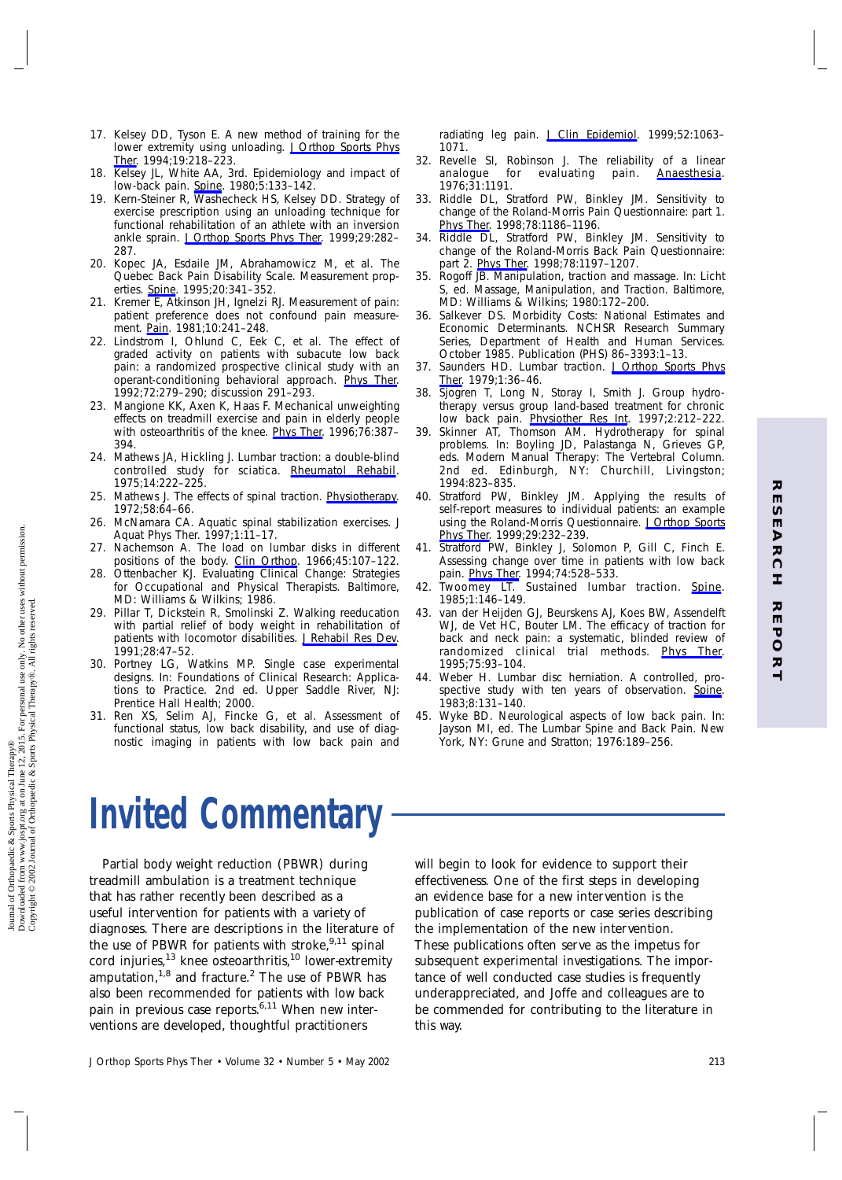- 17. Kelsey DD, Tyson E. A new method of training for the lower extremity using unloading. *[J Orthop Sports Phys](http://www.jospt.org/action/showLinks?system=10.2519%2Fjospt.1994.19.4.218&pmid=7909700) [Ther.](http://www.jospt.org/action/showLinks?system=10.2519%2Fjospt.1994.19.4.218&pmid=7909700)* 1994;19:218–223.
- 18. Kelsey JL, White AA, 3rd. Epidemiology and impact of low-back pain. *[Spine](http://www.jospt.org/action/showLinks?pmid=6446158&crossref=10.1097%2F00007632-198003000-00007).* 1980;5:133–142.
- 19. Kern-Steiner R, Washecheck HS, Kelsey DD. Strategy of exercise prescription using an unloading technique for functional rehabilitation of an athlete with an inversion ankle sprain. *[J Orthop Sports Phys Ther.](http://www.jospt.org/action/showLinks?system=10.2519%2Fjospt.1999.29.5.282&pmid=10342565)* 1999;29:282– 287.
- 20. Kopec JA, Esdaile JM, Abrahamowicz M, et al. The Quebec Back Pain Disability Scale. Measurement properties. *[Spine.](http://www.jospt.org/action/showLinks?pmid=7732471&crossref=10.1097%2F00007632-199502000-00016)* 1995;20:341–352.
- 21. Kremer E, Atkinson JH, Ignelzi RJ. Measurement of pain: patient preference does not confound pain measurement. *[Pain](http://www.jospt.org/action/showLinks?pmid=7267140&crossref=10.1016%2F0304-3959%2881%2990199-8).* 1981;10:241–248.
- 22. Lindstrom I, Ohlund C, Eek C, et al. The effect of graded activity on patients with subacute low back pain: a randomized prospective clinical study with an operant-conditioning behavioral approach. *[Phys Ther.](http://www.jospt.org/action/showLinks?pmid=1533941)* 1992;72:279–290; discussion 291–293.
- 23. Mangione KK, Axen K, Haas F. Mechanical unweighting effects on treadmill exercise and pain in elderly people with osteoarthritis of the knee. *[Phys Ther.](http://www.jospt.org/action/showLinks?pmid=8606901)* 1996;76:387– 394.
- 24. Mathews JA, Hickling J. Lumbar traction: a double-blind controlled study for sciatica. *[Rheumatol Rehabil](http://www.jospt.org/action/showLinks?pmid=1105752&crossref=10.1093%2Frheumatology%2F14.4.222).* 1975;14:222–225.
- 25. Mathews J. The effects of spinal traction. *[Physiotherapy.](http://www.jospt.org/action/showLinks?pmid=4668980)* 1972;58:64–66.
- 26. McNamara CA. Aquatic spinal stabilization exercises. *J Aquat Phys Ther.* 1997;1:11–17.
- 27. Nachemson A. The load on lumbar disks in different positions of the body. *[Clin Orthop.](http://www.jospt.org/action/showLinks?pmid=5937361&crossref=10.1097%2F00003086-196600450-00014)* 1966;45:107–122.
- 28. Ottenbacher KJ. *Evaluating Clinical Change: Strategies for Occupational and Physical Therapists.* Baltimore, MD: Williams & Wilkins; 1986.
- 29. Pillar T, Dickstein R, Smolinski Z. Walking reeducation with partial relief of body weight in rehabilitation of patients with locomotor disabilities. *[J Rehabil Res Dev.](http://www.jospt.org/action/showLinks?pmid=1941649&crossref=10.1682%2FJRRD.1991.10.0047)* 1991;28:47–52.
- 30. Portney LG, Watkins MP. Single case experimental designs. In: *Foundations of Clinical Research: Applications to Practice.* 2nd ed. Upper Saddle River, NJ: Prentice Hall Health; 2000.
- 31. Ren XS, Selim AJ, Fincke G, et al. Assessment of functional status, low back disability, and use of diagnostic imaging in patients with low back pain and

# **Invited Commentary**

Journal of Orthopaedic & Sports Physical Therapy®

Downloaded from www.jospt.org at on June 12, 2015. For personal use only. No other uses without permission.

Journal of Orthopaedic & Sports Physical Therapy®<br>Downloaded from www.jospt.org at on June 12, 2015. For personal use only. No other uses without permission.<br>Copyright © 2002 Journal of Orthopaedic & Sports Physical Therap

Copyright © 2002 Journal of Orthopaedic & Sports Physical Therapy®. All rights reserved.

Partial body weight reduction (PBWR) during treadmill ambulation is a treatment technique that has rather recently been described as a useful intervention for patients with a variety of diagnoses. There are descriptions in the literature of the use of PBWR for patients with stroke,  $9,11$  spinal cord injuries,<sup>13</sup> knee osteoarthritis,<sup>10</sup> lower-extremity amputation, $1,8$  and fracture.<sup>2</sup> The use of PBWR has also been recommended for patients with low back pain in previous case reports. $6,11$  When new interventions are developed, thoughtful practitioners

radiating leg pain. *[J Clin Epidemiol](http://www.jospt.org/action/showLinks?pmid=10527000&crossref=10.1016%2FS0895-4356%2899%2900094-3).* 1999;52:1063– 1071.

- 32. Revelle SI, Robinson J. The reliability of a linear<br>analogue for evaluating pain. Anaesthesia. for evaluating pain. **[Anaesthesia](http://www.jospt.org/action/showLinks?pmid=1015603&crossref=10.1111%2Fj.1365-2044.1976.tb11971.x)**. 1976;31:1191.
- 33. Riddle DL, Stratford PW, Binkley JM. Sensitivity to change of the Roland-Morris Pain Questionnaire: part 1. *[Phys Ther.](http://www.jospt.org/action/showLinks?pmid=9806623)* 1998;78:1186–1196.
- 34. Riddle DL, Stratford PW, Binkley JM. Sensitivity to change of the Roland-Morris Back Pain Questionnaire: part 2. *[Phys Ther.](http://www.jospt.org/action/showLinks?pmid=9806624)* 1998;78:1197–1207.
- 35. Rogoff JB. Manipulation, traction and massage. In: Licht S, ed. *Massage, Manipulation, and Traction.* Baltimore, MD: Williams & Wilkins; 1980:172–200.
- 36. Salkever DS. *Morbidity Costs: National Estimates and Economic Determinants.* NCHSR Research Summary Series, Department of Health and Human Services. October 1985. Publication (PHS) 86–3393:1–13.
- 37. Saunders HD. Lumbar traction. *[J Orthop Sports Phys](http://www.jospt.org/action/showLinks?system=10.2519%2Fjospt.1979.1.1.36&pmid=18810192) [Ther.](http://www.jospt.org/action/showLinks?system=10.2519%2Fjospt.1979.1.1.36&pmid=18810192)* 1979;1:36–46.
- 38. Sjogren T, Long N, Storay I, Smith J. Group hydrotherapy versus group land-based treatment for chronic low back pain. *[Physiother Res Int.](http://www.jospt.org/action/showLinks?pmid=9408932&crossref=10.1002%2Fpri.107)* 1997;2:212–222.
- 39. Skinner AT, Thomson AM. Hydrotherapy for spinal problems. In: Boyling JD, Palastanga N, Grieves GP, eds. *Modern Manual Therapy: The Vertebral Column.* 2nd ed. Edinburgh, NY: Churchill, Livingston; 1994:823–835.
- 40. Stratford PW, Binkley JM. Applying the results of self-report measures to individual patients: an example using the Roland-Morris Questionnaire. *[J Orthop Sports](http://www.jospt.org/action/showLinks?system=10.2519%2Fjospt.1999.29.4.232&pmid=10322596) [Phys Ther.](http://www.jospt.org/action/showLinks?system=10.2519%2Fjospt.1999.29.4.232&pmid=10322596)* 1999;29:232–239.
- 41. Stratford PW, Binkley J, Solomon P, Gill C, Finch E. Assessing change over time in patients with low back pain. *[Phys Ther.](http://www.jospt.org/action/showLinks?pmid=8197239)* 1994;74:528–533.
- 42. Twoomey LT. Sustained lumbar traction. *[Spine](http://www.jospt.org/action/showLinks?crossref=10.1097%2F00007632-198503000-00006).* 1985;1:146–149.
- 43. van der Heijden GJ, Beurskens AJ, Koes BW, Assendelft WJ, de Vet HC, Bouter LM. The efficacy of traction for back and neck pain: a systematic, blinded review of randomized clinical trial methods. *[Phys Ther.](http://www.jospt.org/action/showLinks?pmid=7846138)* 1995;75:93–104.
- 44. Weber H. Lumbar disc herniation. A controlled, prospective study with ten years of observation. *[Spine.](http://www.jospt.org/action/showLinks?pmid=6857385&crossref=10.1097%2F00007632-198303000-00003)* 1983;8:131–140.
- 45. Wyke BD. Neurological aspects of low back pain. In: Jayson MI, ed. *The Lumbar Spine and Back Pain.* New York, NY: Grune and Stratton; 1976:189–256.

will begin to look for evidence to support their effectiveness. One of the first steps in developing an evidence base for a new intervention is the publication of case reports or case series describing the implementation of the new intervention. These publications often serve as the impetus for subsequent experimental investigations. The importance of well conducted case studies is frequently underappreciated, and Joffe and colleagues are to be commended for contributing to the literature in this way.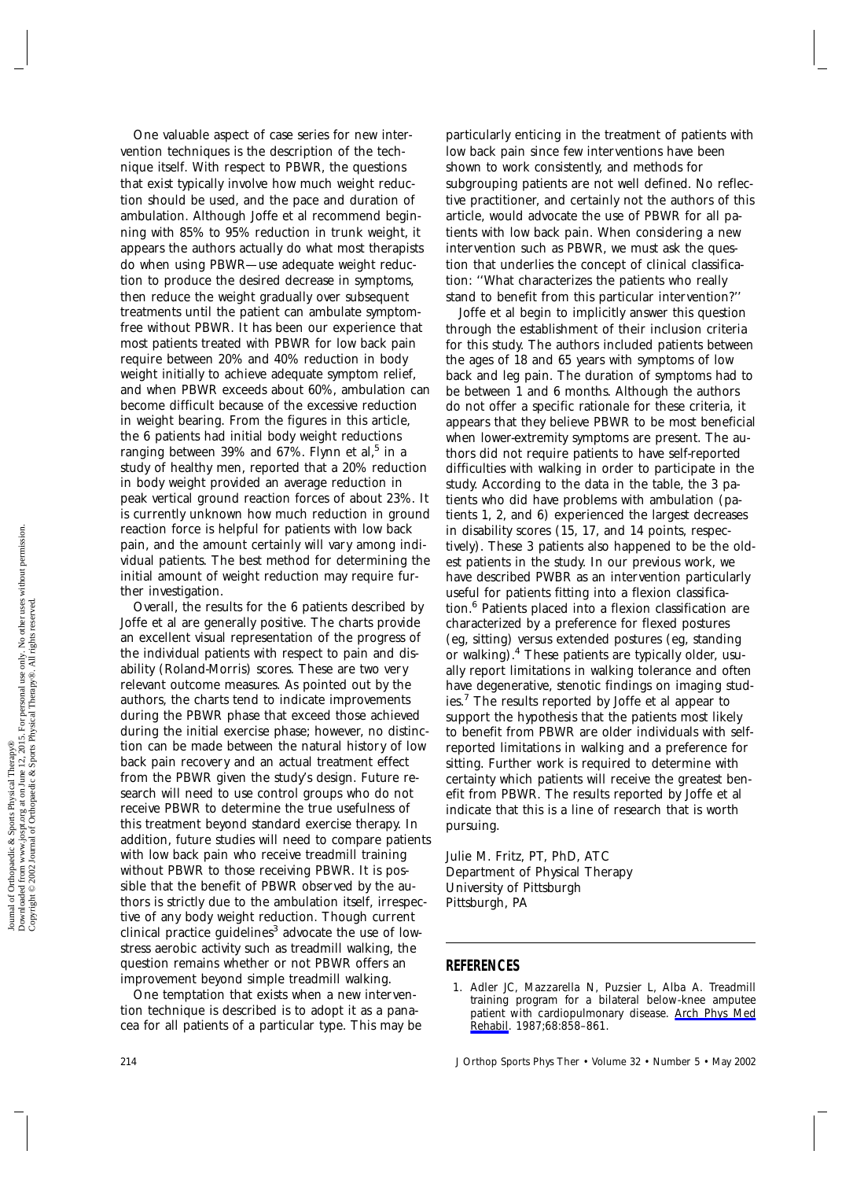Downloaded from www.jospt.org at on June 12, 2015. For personal use only. No other uses without permission. Journal of Orthopaedic & Sports Physical Therapy®<br>Downloaded from www.jospt.org at on June 12, 2015. For personal use only. No other uses without permission.<br>Copyright © 2002 Journal of Orthopaedic & Sports Physical Therap Copyright © 2002 Journal of Orthopaedic & Sports Physical Therapy®. All rights reserved.Journal of Orthopaedic & Sports Physical Therapy®

One valuable aspect of case series for new intervention techniques is the description of the technique itself. With respect to PBWR, the questions that exist typically involve how much weight reduction should be used, and the pace and duration of ambulation. Although Joffe et al recommend beginning with 85% to 95% reduction in trunk weight, it appears the authors actually do what most therapists do when using PBWR—use adequate weight reduction to produce the desired decrease in symptoms, then reduce the weight gradually over subsequent treatments until the patient can ambulate symptomfree without PBWR. It has been our experience that most patients treated with PBWR for low back pain require between 20% and 40% reduction in body weight initially to achieve adequate symptom relief, and when PBWR exceeds about 60%, ambulation can become difficult because of the excessive reduction in weight bearing. From the figures in this article, the 6 patients had initial body weight reductions ranging between 39% and 67%. Flynn et al,<sup>5</sup> in a study of healthy men, reported that a 20% reduction in body weight provided an average reduction in peak vertical ground reaction forces of about 23%. It is currently unknown how much reduction in ground reaction force is helpful for patients with low back pain, and the amount certainly will vary among individual patients. The best method for determining the initial amount of weight reduction may require further investigation.

Overall, the results for the 6 patients described by Joffe et al are generally positive. The charts provide an excellent visual representation of the progress of the individual patients with respect to pain and disability (Roland-Morris) scores. These are two very relevant outcome measures. As pointed out by the authors, the charts tend to indicate improvements during the PBWR phase that exceed those achieved during the initial exercise phase; however, no distinction can be made between the natural history of low back pain recovery and an actual treatment effect from the PBWR given the study's design. Future research will need to use control groups who do not receive PBWR to determine the true usefulness of this treatment beyond standard exercise therapy. In addition, future studies will need to compare patients with low back pain who receive treadmill training without PBWR to those receiving PBWR. It is possible that the benefit of PBWR observed by the authors is strictly due to the ambulation itself, irrespective of any body weight reduction. Though current clinical practice guidelines<sup>3</sup> advocate the use of lowstress aerobic activity such as treadmill walking, the question remains whether or not PBWR offers an improvement beyond simple treadmill walking.

One temptation that exists when a new intervention technique is described is to adopt it as a panacea for all patients of a particular type. This may be particularly enticing in the treatment of patients with low back pain since few interventions have been shown to work consistently, and methods for subgrouping patients are not well defined. No reflective practitioner, and certainly not the authors of this article, would advocate the use of PBWR for all patients with low back pain. When considering a new intervention such as PBWR, we must ask the question that underlies the concept of clinical classification: ''What characterizes the patients who really stand to benefit from this particular intervention?''

Joffe et al begin to implicitly answer this question through the establishment of their inclusion criteria for this study. The authors included patients between the ages of 18 and 65 years with symptoms of low back and leg pain. The duration of symptoms had to be between 1 and 6 months. Although the authors do not offer a specific rationale for these criteria, it appears that they believe PBWR to be most beneficial when lower-extremity symptoms are present. The authors did not require patients to have self-reported difficulties with walking in order to participate in the study. According to the data in the table, the 3 patients who did have problems with ambulation (patients 1, 2, and 6) experienced the largest decreases in disability scores (15, 17, and 14 points, respectively). These 3 patients also happened to be the oldest patients in the study. In our previous work, we have described PWBR as an intervention particularly useful for patients fitting into a flexion classification.6 Patients placed into a flexion classification are characterized by a preference for flexed postures (eg, sitting) versus extended postures (eg, standing or walking).4 These patients are typically older, usually report limitations in walking tolerance and often have degenerative, stenotic findings on imaging studies.7 The results reported by Joffe et al appear to support the hypothesis that the patients most likely to benefit from PBWR are older individuals with selfreported limitations in walking and a preference for sitting. Further work is required to determine with certainty which patients will receive the greatest benefit from PBWR. The results reported by Joffe et al indicate that this is a line of research that is worth pursuing.

Julie M. Fritz, PT, PhD, ATC Department of Physical Therapy University of Pittsburgh Pittsburgh, PA

#### **REFERENCES**

<sup>1.</sup> Adler JC, Mazzarella N, Puzsier L, Alba A. Treadmill training program for a bilateral below-knee amputee patient with cardiopulmonary disease. *[Arch Phys Med](http://www.jospt.org/action/showLinks?pmid=3426386) [Rehabil.](http://www.jospt.org/action/showLinks?pmid=3426386)* 1987;68:858–861.

<sup>214</sup> J Orthop Sports Phys Ther • Volume 32 • Number 5 • May 2002